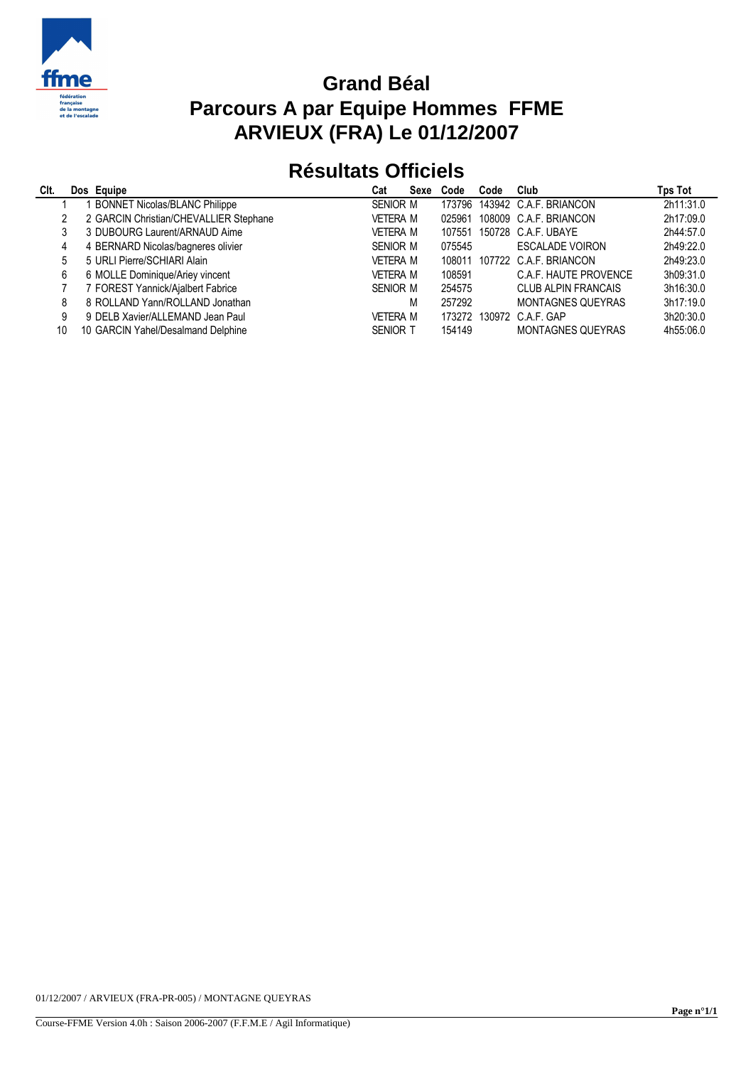

## **Grand Béal Parcours A par Equipe Hommes FFME ARVIEUX (FRA) Le 01/12/2007**

## **Résultats Officiels**

| CIt. | Dos Equipe                             | Cat             | Sexe | Code   | Code | Club                       | Tps Tot   |
|------|----------------------------------------|-----------------|------|--------|------|----------------------------|-----------|
|      | <b>BONNET Nicolas/BLANC Philippe</b>   | <b>SENIOR M</b> |      | 173796 |      | 143942 C.A.F. BRIANCON     | 2h11:31.0 |
|      | 2 GARCIN Christian/CHEVALLIER Stephane | <b>VETERA M</b> |      | 025961 |      | 108009 C.A.F. BRIANCON     | 2h17:09.0 |
|      | 3 DUBOURG Laurent/ARNAUD Aime          | VETERA M        |      | 107551 |      | 150728 C.A.F. UBAYE        | 2h44:57.0 |
| 4    | 4 BERNARD Nicolas/bagneres olivier     | <b>SENIOR M</b> |      | 075545 |      | <b>ESCALADE VOIRON</b>     | 2h49:22.0 |
| 5.   | 5 URLI Pierre/SCHIARI Alain            | <b>VETERA M</b> |      | 108011 |      | 107722 C.A.F. BRIANCON     | 2h49:23.0 |
| 6    | 6 MOLLE Dominique/Ariey vincent        | <b>VETERA M</b> |      | 108591 |      | C.A.F. HAUTE PROVENCE      | 3h09:31.0 |
|      | 7 FOREST Yannick/Ajalbert Fabrice      | <b>SENIOR M</b> |      | 254575 |      | <b>CLUB ALPIN FRANCAIS</b> | 3h16:30.0 |
| 8    | 8 ROLLAND Yann/ROLLAND Jonathan        |                 | М    | 257292 |      | <b>MONTAGNES QUEYRAS</b>   | 3h17:19.0 |
| 9    | 9 DELB Xavier/ALLEMAND Jean Paul       | <b>VETERA M</b> |      | 173272 |      | 130972 C.A.F. GAP          | 3h20:30.0 |
| 10   | 10 GARCIN Yahel/Desalmand Delphine     | <b>SENIOR T</b> |      | 154149 |      | <b>MONTAGNES QUEYRAS</b>   | 4h55:06.0 |